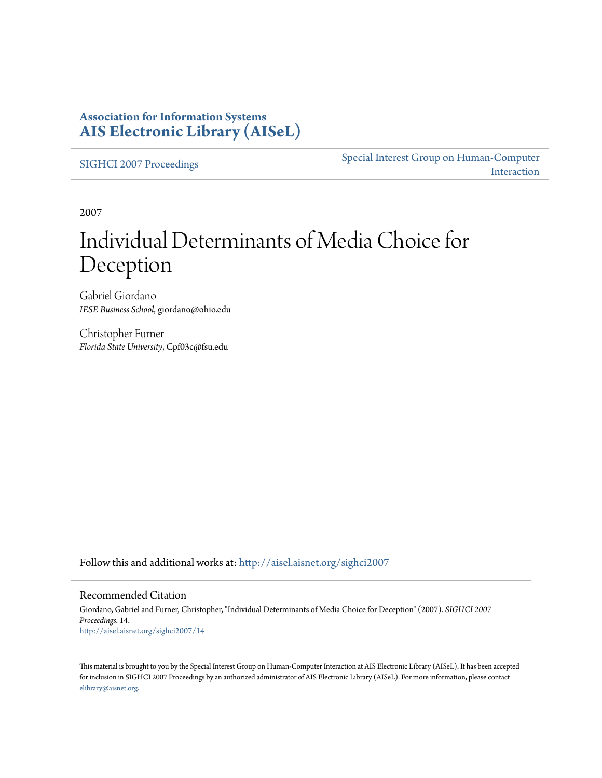### **Association for Information Systems [AIS Electronic Library \(AISeL\)](http://aisel.aisnet.org?utm_source=aisel.aisnet.org%2Fsighci2007%2F14&utm_medium=PDF&utm_campaign=PDFCoverPages)**

[SIGHCI 2007 Proceedings](http://aisel.aisnet.org/sighci2007?utm_source=aisel.aisnet.org%2Fsighci2007%2F14&utm_medium=PDF&utm_campaign=PDFCoverPages)

[Special Interest Group on Human-Computer](http://aisel.aisnet.org/sighci?utm_source=aisel.aisnet.org%2Fsighci2007%2F14&utm_medium=PDF&utm_campaign=PDFCoverPages) [Interaction](http://aisel.aisnet.org/sighci?utm_source=aisel.aisnet.org%2Fsighci2007%2F14&utm_medium=PDF&utm_campaign=PDFCoverPages)

2007

# Individual Determinants of Media Choice for Deception

Gabriel Giordano *IESE Business School*, giordano@ohio.edu

Christopher Furner *Florida State University*, Cpf03c@fsu.edu

Follow this and additional works at: [http://aisel.aisnet.org/sighci2007](http://aisel.aisnet.org/sighci2007?utm_source=aisel.aisnet.org%2Fsighci2007%2F14&utm_medium=PDF&utm_campaign=PDFCoverPages)

#### Recommended Citation

Giordano, Gabriel and Furner, Christopher, "Individual Determinants of Media Choice for Deception" (2007). *SIGHCI 2007 Proceedings*. 14. [http://aisel.aisnet.org/sighci2007/14](http://aisel.aisnet.org/sighci2007/14?utm_source=aisel.aisnet.org%2Fsighci2007%2F14&utm_medium=PDF&utm_campaign=PDFCoverPages)

This material is brought to you by the Special Interest Group on Human-Computer Interaction at AIS Electronic Library (AISeL). It has been accepted for inclusion in SIGHCI 2007 Proceedings by an authorized administrator of AIS Electronic Library (AISeL). For more information, please contact [elibrary@aisnet.org.](mailto:elibrary@aisnet.org%3E)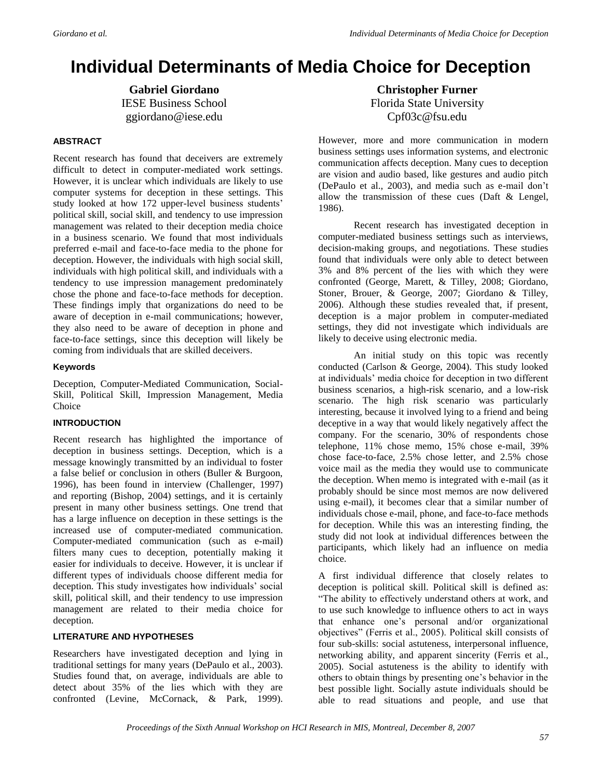## **Individual Determinants of Media Choice for Deception**

**Gabriel Giordano** IESE Business School ggiordano@iese.edu

#### **ABSTRACT**

Recent research has found that deceivers are extremely difficult to detect in computer-mediated work settings. However, it is unclear which individuals are likely to use computer systems for deception in these settings. This study looked at how 172 upper-level business students' political skill, social skill, and tendency to use impression management was related to their deception media choice in a business scenario. We found that most individuals preferred e-mail and face-to-face media to the phone for deception. However, the individuals with high social skill, individuals with high political skill, and individuals with a tendency to use impression management predominately chose the phone and face-to-face methods for deception. These findings imply that organizations do need to be aware of deception in e-mail communications; however, they also need to be aware of deception in phone and face-to-face settings, since this deception will likely be coming from individuals that are skilled deceivers.

#### **Keywords**

Deception, Computer-Mediated Communication, Social-Skill, Political Skill, Impression Management, Media Choice

#### **INTRODUCTION**

Recent research has highlighted the importance of deception in business settings. Deception, which is a message knowingly transmitted by an individual to foster a false belief or conclusion in others (Buller & Burgoon, 1996), has been found in interview (Challenger, 1997) and reporting (Bishop, 2004) settings, and it is certainly present in many other business settings. One trend that has a large influence on deception in these settings is the increased use of computer-mediated communication. Computer-mediated communication (such as e-mail) filters many cues to deception, potentially making it easier for individuals to deceive. However, it is unclear if different types of individuals choose different media for deception. This study investigates how individuals' social skill, political skill, and their tendency to use impression management are related to their media choice for deception.

#### **LITERATURE AND HYPOTHESES**

Researchers have investigated deception and lying in traditional settings for many years (DePaulo et al., 2003). Studies found that, on average, individuals are able to detect about 35% of the lies which with they are confronted (Levine, McCornack, & Park, 1999).

**Christopher Furner** Florida State University Cpf03c@fsu.edu

However, more and more communication in modern business settings uses information systems, and electronic communication affects deception. Many cues to deception are vision and audio based, like gestures and audio pitch (DePaulo et al., 2003), and media such as e-mail don't allow the transmission of these cues (Daft & Lengel, 1986).

Recent research has investigated deception in computer-mediated business settings such as interviews, decision-making groups, and negotiations. These studies found that individuals were only able to detect between 3% and 8% percent of the lies with which they were confronted (George, Marett, & Tilley, 2008; Giordano, Stoner, Brouer, & George, 2007; Giordano & Tilley, 2006). Although these studies revealed that, if present, deception is a major problem in computer-mediated settings, they did not investigate which individuals are likely to deceive using electronic media.

An initial study on this topic was recently conducted (Carlson & George, 2004). This study looked at individuals' media choice for deception in two different business scenarios, a high-risk scenario, and a low-risk scenario. The high risk scenario was particularly interesting, because it involved lying to a friend and being deceptive in a way that would likely negatively affect the company. For the scenario, 30% of respondents chose telephone, 11% chose memo, 15% chose e-mail, 39% chose face-to-face, 2.5% chose letter, and 2.5% chose voice mail as the media they would use to communicate the deception. When memo is integrated with e-mail (as it probably should be since most memos are now delivered using e-mail), it becomes clear that a similar number of individuals chose e-mail, phone, and face-to-face methods for deception. While this was an interesting finding, the study did not look at individual differences between the participants, which likely had an influence on media choice.

A first individual difference that closely relates to deception is political skill. Political skill is defined as: "The ability to effectively understand others at work, and to use such knowledge to influence others to act in ways that enhance one's personal and/or organizational objectives" (Ferris et al., 2005). Political skill consists of four sub-skills: social astuteness, interpersonal influence, networking ability, and apparent sincerity (Ferris et al., 2005). Social astuteness is the ability to identify with others to obtain things by presenting one's behavior in the best possible light. Socially astute individuals should be able to read situations and people, and use that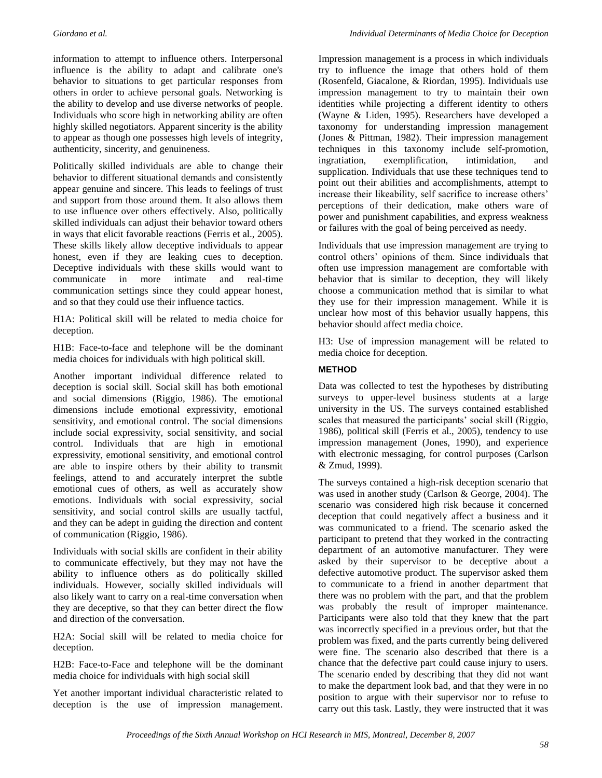information to attempt to influence others. Interpersonal influence is the ability to adapt and calibrate one's behavior to situations to get particular responses from others in order to achieve personal goals. Networking is the ability to develop and use diverse networks of people. Individuals who score high in networking ability are often highly skilled negotiators. Apparent sincerity is the ability to appear as though one possesses high levels of integrity, authenticity, sincerity, and genuineness.

Politically skilled individuals are able to change their behavior to different situational demands and consistently appear genuine and sincere. This leads to feelings of trust and support from those around them. It also allows them to use influence over others effectively. Also, politically skilled individuals can adjust their behavior toward others in ways that elicit favorable reactions (Ferris et al., 2005). These skills likely allow deceptive individuals to appear honest, even if they are leaking cues to deception. Deceptive individuals with these skills would want to communicate in more intimate and real-time communication settings since they could appear honest, and so that they could use their influence tactics.

H1A: Political skill will be related to media choice for deception.

H1B: Face-to-face and telephone will be the dominant media choices for individuals with high political skill.

Another important individual difference related to deception is social skill. Social skill has both emotional and social dimensions (Riggio, 1986). The emotional dimensions include emotional expressivity, emotional sensitivity, and emotional control. The social dimensions include social expressivity, social sensitivity, and social control. Individuals that are high in emotional expressivity, emotional sensitivity, and emotional control are able to inspire others by their ability to transmit feelings, attend to and accurately interpret the subtle emotional cues of others, as well as accurately show emotions. Individuals with social expressivity, social sensitivity, and social control skills are usually tactful, and they can be adept in guiding the direction and content of communication (Riggio, 1986).

Individuals with social skills are confident in their ability to communicate effectively, but they may not have the ability to influence others as do politically skilled individuals. However, socially skilled individuals will also likely want to carry on a real-time conversation when they are deceptive, so that they can better direct the flow and direction of the conversation.

H2A: Social skill will be related to media choice for deception.

H2B: Face-to-Face and telephone will be the dominant media choice for individuals with high social skill

Yet another important individual characteristic related to deception is the use of impression management. Impression management is a process in which individuals try to influence the image that others hold of them (Rosenfeld, Giacalone, & Riordan, 1995). Individuals use impression management to try to maintain their own identities while projecting a different identity to others (Wayne & Liden, 1995). Researchers have developed a taxonomy for understanding impression management (Jones & Pittman, 1982). Their impression management techniques in this taxonomy include self-promotion, ingratiation, exemplification, intimidation, and supplication. Individuals that use these techniques tend to point out their abilities and accomplishments, attempt to increase their likeability, self sacrifice to increase others' perceptions of their dedication, make others ware of power and punishment capabilities, and express weakness or failures with the goal of being perceived as needy.

Individuals that use impression management are trying to control others' opinions of them. Since individuals that often use impression management are comfortable with behavior that is similar to deception, they will likely choose a communication method that is similar to what they use for their impression management. While it is unclear how most of this behavior usually happens, this behavior should affect media choice.

H3: Use of impression management will be related to media choice for deception.

#### **METHOD**

Data was collected to test the hypotheses by distributing surveys to upper-level business students at a large university in the US. The surveys contained established scales that measured the participants' social skill (Riggio, 1986), political skill (Ferris et al., 2005), tendency to use impression management (Jones, 1990), and experience with electronic messaging, for control purposes (Carlson & Zmud, 1999).

The surveys contained a high-risk deception scenario that was used in another study (Carlson & George, 2004). The scenario was considered high risk because it concerned deception that could negatively affect a business and it was communicated to a friend. The scenario asked the participant to pretend that they worked in the contracting department of an automotive manufacturer. They were asked by their supervisor to be deceptive about a defective automotive product. The supervisor asked them to communicate to a friend in another department that there was no problem with the part, and that the problem was probably the result of improper maintenance. Participants were also told that they knew that the part was incorrectly specified in a previous order, but that the problem was fixed, and the parts currently being delivered were fine. The scenario also described that there is a chance that the defective part could cause injury to users. The scenario ended by describing that they did not want to make the department look bad, and that they were in no position to argue with their supervisor nor to refuse to carry out this task. Lastly, they were instructed that it was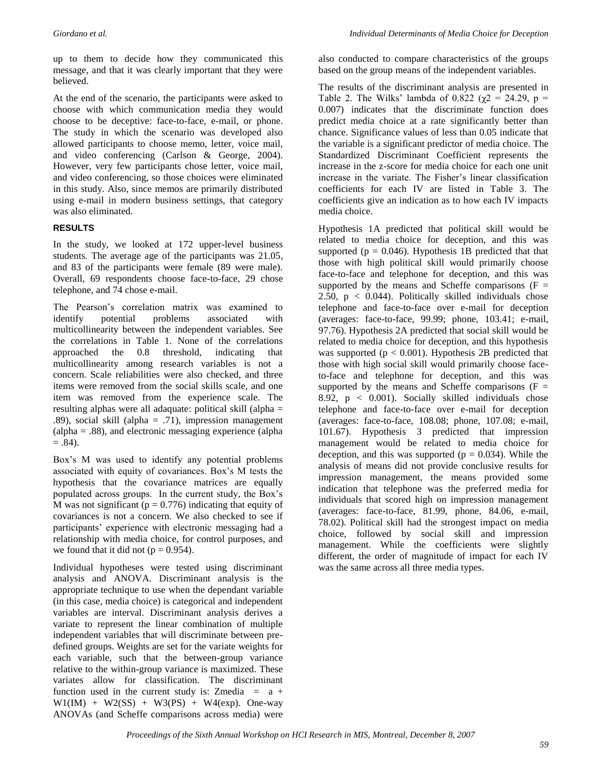up to them to decide how they communicated this message, and that it was clearly important that they were believed.

At the end of the scenario, the participants were asked to choose with which communication media they would choose to be deceptive: face-to-face, e-mail, or phone. The study in which the scenario was developed also allowed participants to choose memo, letter, voice mail, and video conferencing (Carlson & George, 2004). However, very few participants chose letter, voice mail, and video conferencing, so those choices were eliminated in this study. Also, since memos are primarily distributed using e-mail in modern business settings, that category was also eliminated.

#### **RESULTS**

In the study, we looked at 172 upper-level business students. The average age of the participants was 21.05, and 83 of the participants were female (89 were male). Overall, 69 respondents choose face-to-face, 29 chose telephone, and 74 chose e-mail.

The Pearson's correlation matrix was examined to identify potential problems associated with multicollinearity between the independent variables. See the correlations in Table 1. None of the correlations approached the 0.8 threshold, indicating that multicollinearity among research variables is not a concern. Scale reliabilities were also checked, and three items were removed from the social skills scale, and one item was removed from the experience scale. The resulting alphas were all adaquate: political skill (alpha = .89), social skill (alpha  $= .71$ ), impression management (alpha = .88), and electronic messaging experience (alpha  $= .84$ ).

Box's M was used to identify any potential problems associated with equity of covariances. Box's M tests the hypothesis that the covariance matrices are equally populated across groups. In the current study, the Box's M was not significant ( $p = 0.776$ ) indicating that equity of covariances is not a concern. We also checked to see if participants' experience with electronic messaging had a relationship with media choice, for control purposes, and we found that it did not ( $p = 0.954$ ).

Individual hypotheses were tested using discriminant analysis and ANOVA. Discriminant analysis is the appropriate technique to use when the dependant variable (in this case, media choice) is categorical and independent variables are interval. Discriminant analysis derives a variate to represent the linear combination of multiple independent variables that will discriminate between predefined groups. Weights are set for the variate weights for each variable, such that the between-group variance relative to the within-group variance is maximized. These variates allow for classification. The discriminant function used in the current study is: Zmedia =  $a +$  $W1(IM) + W2(SS) + W3(PS) + W4(exp)$ . One-way ANOVAs (and Scheffe comparisons across media) were also conducted to compare characteristics of the groups based on the group means of the independent variables.

The results of the discriminant analysis are presented in Table 2. The Wilks' lambda of 0.822 ( $\gamma$ 2 = 24.29, p = 0.007) indicates that the discriminate function does predict media choice at a rate significantly better than chance. Significance values of less than 0.05 indicate that the variable is a significant predictor of media choice. The Standardized Discriminant Coefficient represents the increase in the z-score for media choice for each one unit increase in the variate. The Fisher's linear classification coefficients for each IV are listed in Table 3. The coefficients give an indication as to how each IV impacts media choice.

Hypothesis 1A predicted that political skill would be related to media choice for deception, and this was supported ( $p = 0.046$ ). Hypothesis 1B predicted that that those with high political skill would primarily choose face-to-face and telephone for deception, and this was supported by the means and Scheffe comparisons  $(F =$ 2.50,  $p < 0.044$ ). Politically skilled individuals chose telephone and face-to-face over e-mail for deception (averages: face-to-face, 99.99; phone, 103.41; e-mail, 97.76). Hypothesis 2A predicted that social skill would be related to media choice for deception, and this hypothesis was supported ( $p < 0.001$ ). Hypothesis 2B predicted that those with high social skill would primarily choose faceto-face and telephone for deception, and this was supported by the means and Scheffe comparisons  $(F =$ 8.92,  $p < 0.001$ ). Socially skilled individuals chose telephone and face-to-face over e-mail for deception (averages: face-to-face, 108.08; phone, 107.08; e-mail, 101.67). Hypothesis 3 predicted that impression management would be related to media choice for deception, and this was supported ( $p = 0.034$ ). While the analysis of means did not provide conclusive results for impression management, the means provided some indication that telephone was the preferred media for individuals that scored high on impression management (averages: face-to-face, 81.99, phone, 84.06, e-mail, 78.02). Political skill had the strongest impact on media choice, followed by social skill and impression management. While the coefficients were slightly different, the order of magnitude of impact for each IV was the same across all three media types.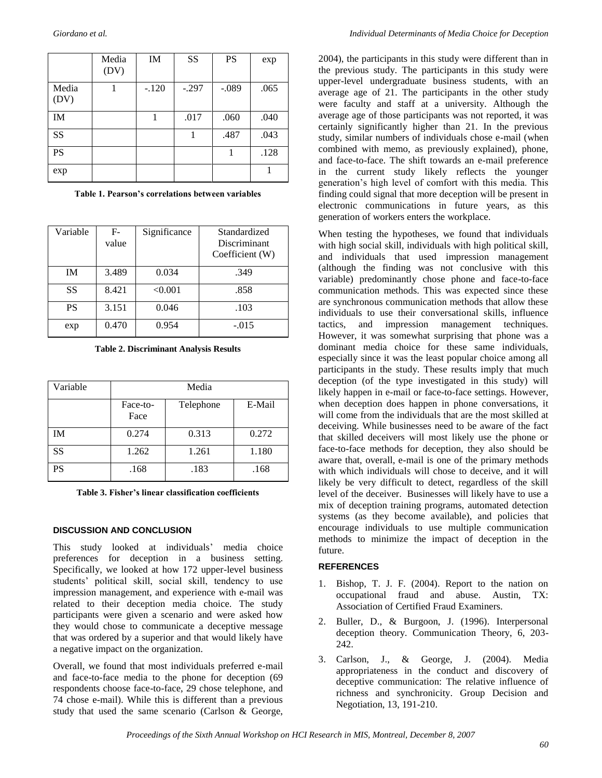|               | Media<br>(DV) | IM      | SS      | <b>PS</b> | exp  |
|---------------|---------------|---------|---------|-----------|------|
| Media<br>(DV) |               | $-.120$ | $-.297$ | $-.089$   | .065 |
| <b>IM</b>     |               |         | .017    | .060      | .040 |
| SS            |               |         |         | .487      | .043 |
| PS            |               |         |         |           | .128 |
| exp           |               |         |         |           |      |

**Table 1. Pearson's correlations between variables**

| Variable  | $F-$<br>value | Significance | Standardized<br>Discriminant<br>Coefficient (W) |
|-----------|---------------|--------------|-------------------------------------------------|
| <b>IM</b> | 3.489         | 0.034        | .349                                            |
| SS        | 8.421         | < 0.001      | .858                                            |
| <b>PS</b> | 3.151         | 0.046        | .103                                            |
| exp       | 0.470         | 0.954        | $-.015$                                         |

**Table 2. Discriminant Analysis Results**

| Variable | Media            |           |        |  |  |
|----------|------------------|-----------|--------|--|--|
|          | Face-to-<br>Face | Telephone | E-Mail |  |  |
| ĪΜ       | 0.274            | 0.313     | 0.272  |  |  |
| SS       | 1.262            | 1.261     | 1.180  |  |  |
| PS       | .168             | .183      | .168   |  |  |

**Table 3. Fisher's linear classification coefficients**

#### **DISCUSSION AND CONCLUSION**

This study looked at individuals' media choice preferences for deception in a business setting. Specifically, we looked at how 172 upper-level business students' political skill, social skill, tendency to use impression management, and experience with e-mail was related to their deception media choice. The study participants were given a scenario and were asked how they would chose to communicate a deceptive message that was ordered by a superior and that would likely have a negative impact on the organization.

Overall, we found that most individuals preferred e-mail and face-to-face media to the phone for deception (69 respondents choose face-to-face, 29 chose telephone, and 74 chose e-mail). While this is different than a previous study that used the same scenario (Carlson & George,

2004), the participants in this study were different than in the previous study. The participants in this study were upper-level undergraduate business students, with an average age of 21. The participants in the other study were faculty and staff at a university. Although the average age of those participants was not reported, it was certainly significantly higher than 21. In the previous study, similar numbers of individuals chose e-mail (when combined with memo, as previously explained), phone, and face-to-face. The shift towards an e-mail preference in the current study likely reflects the younger generation's high level of comfort with this media. This finding could signal that more deception will be present in electronic communications in future years, as this generation of workers enters the workplace.

When testing the hypotheses, we found that individuals with high social skill, individuals with high political skill, and individuals that used impression management (although the finding was not conclusive with this variable) predominantly chose phone and face-to-face communication methods. This was expected since these are synchronous communication methods that allow these individuals to use their conversational skills, influence tactics, and impression management techniques. However, it was somewhat surprising that phone was a dominant media choice for these same individuals, especially since it was the least popular choice among all participants in the study. These results imply that much deception (of the type investigated in this study) will likely happen in e-mail or face-to-face settings. However, when deception does happen in phone conversations, it will come from the individuals that are the most skilled at deceiving. While businesses need to be aware of the fact that skilled deceivers will most likely use the phone or face-to-face methods for deception, they also should be aware that, overall, e-mail is one of the primary methods with which individuals will chose to deceive, and it will likely be very difficult to detect, regardless of the skill level of the deceiver. Businesses will likely have to use a mix of deception training programs, automated detection systems (as they become available), and policies that encourage individuals to use multiple communication methods to minimize the impact of deception in the future.

#### **REFERENCES**

- 1. Bishop, T. J. F. (2004). Report to the nation on occupational fraud and abuse. Austin, TX: Association of Certified Fraud Examiners.
- 2. Buller, D., & Burgoon, J. (1996). Interpersonal deception theory. Communication Theory, 6, 203- 242.
- 3. Carlson, J., & George, J. (2004). Media appropriateness in the conduct and discovery of deceptive communication: The relative influence of richness and synchronicity. Group Decision and Negotiation, 13, 191-210.